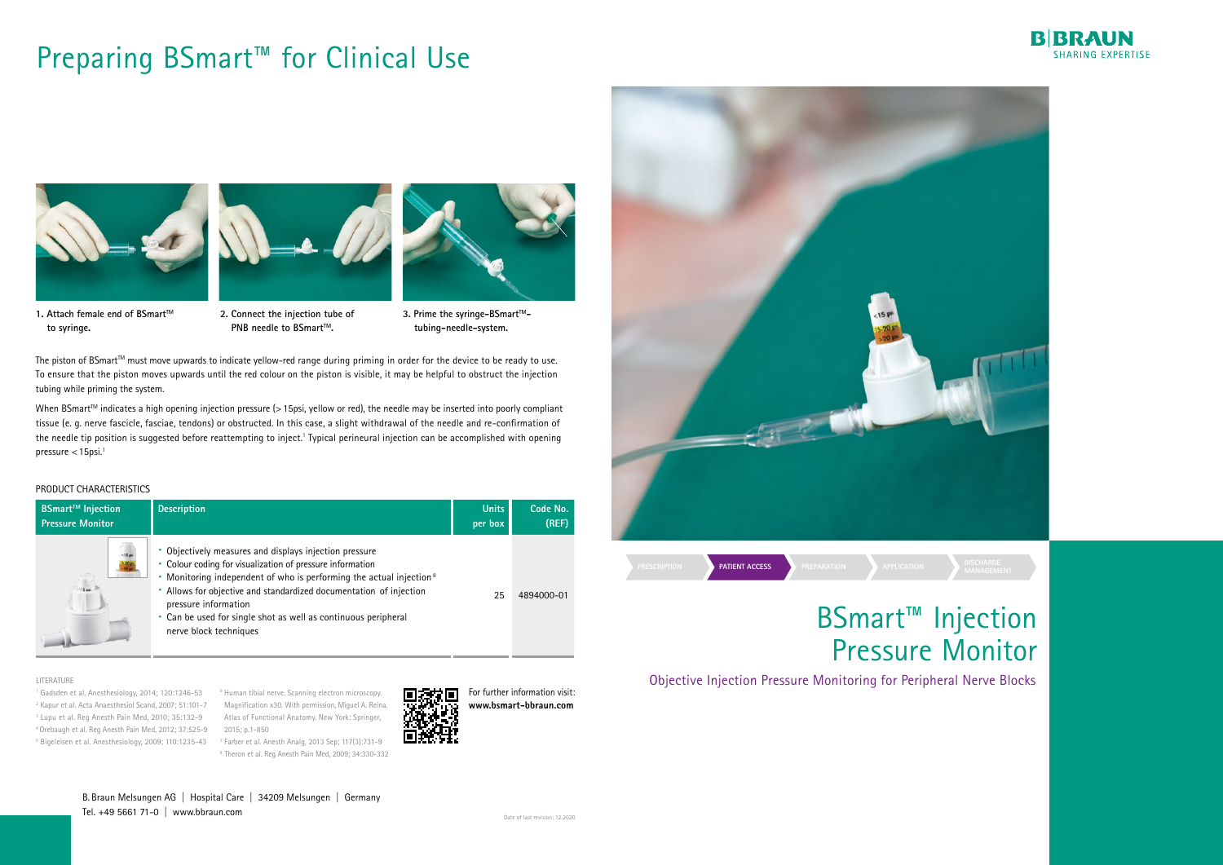| <b>BSmart<sup>™</sup> Injection</b> | <b>Description</b>                                                                                                                                                                                                                                                                                                                                                                         | <b>Units</b> | Code No.   |
|-------------------------------------|--------------------------------------------------------------------------------------------------------------------------------------------------------------------------------------------------------------------------------------------------------------------------------------------------------------------------------------------------------------------------------------------|--------------|------------|
| <b>Pressure Monitor</b>             |                                                                                                                                                                                                                                                                                                                                                                                            | per box      | (REF)      |
| 15m                                 | Objectively measures and displays injection pressure<br>• Colour coding for visualization of pressure information<br>Monitoring independent of who is performing the actual injection <sup>8</sup><br>Allows for objective and standardized documentation of injection<br>pressure information<br>• Can be used for single shot as well as continuous peripheral<br>nerve block techniques | 25           | 4894000-01 |

**3. Prime the syringe-BSmart™tubing-needle-system.**

# Preparing BSmart<sup>™</sup> for Clinical Use



**1. Attach female end of BSmart™ to syringe.**

The piston of BSmart<sup>™</sup> must move upwards to indicate yellow-red range during priming in order for the device to be ready to use. To ensure that the piston moves upwards until the red colour on the piston is visible, it may be helpful to obstruct the injection tubing while priming the system.

When BSmart<sup>™</sup> indicates a high opening injection pressure (> 15psi, yellow or red), the needle may be inserted into poorly compliant tissue (e. g. nerve fascicle, fasciae, tendons) or obstructed. In this case, a slight withdrawal of the needle and re-confirmation of the needle tip position is suggested before reattempting to inject.1 Typical perineural injection can be accomplished with opening pressure  $<$  15psi.<sup>1</sup>

### PRODUCT CHARACTERISTICS



**PNB needle to BSmart™.** 



<sup>1</sup> Gadsden et al. Anesthesiology, 2014; 120:1246-53 <sup>6</sup> Human tibial nerve. Scanning electron microscopy. 2 Kapur et al. Acta Anaesthesiol Scand, 2007; 51:101-7 Magnification x30. With permission, Miguel A. Reina. 3 Lupu et al. Reg Anesth Pain Med, 2010; 35:132-9 Atlas of Functional Anatomy. New York: Springer, 4 Orebaugh et al. Reg Anesth Pain Med, 2012; 37:525-9 2015; p.1-850

B. Braun Melsungen AG | Hospital Care | 34209 Melsungen | Germany Tel.  $+49$  5661 71-0  $\parallel$  www.bbraun.com





#### LITERATURE

5 Bigeleisen et al. Anesthesiology, 2009; 110:1235-43 7 Farber et al. Anesth Analg, 2013 Sep; 117(3):731-9 8 Theron et al. Reg Anesth Pain Med, 2009; 34:330-332



For further information visit: **www.bsmart-bbraun.com**

# BSmart™ Injection Pressure Monitor

Objective Injection Pressure Monitoring for Peripheral Nerve Blocks